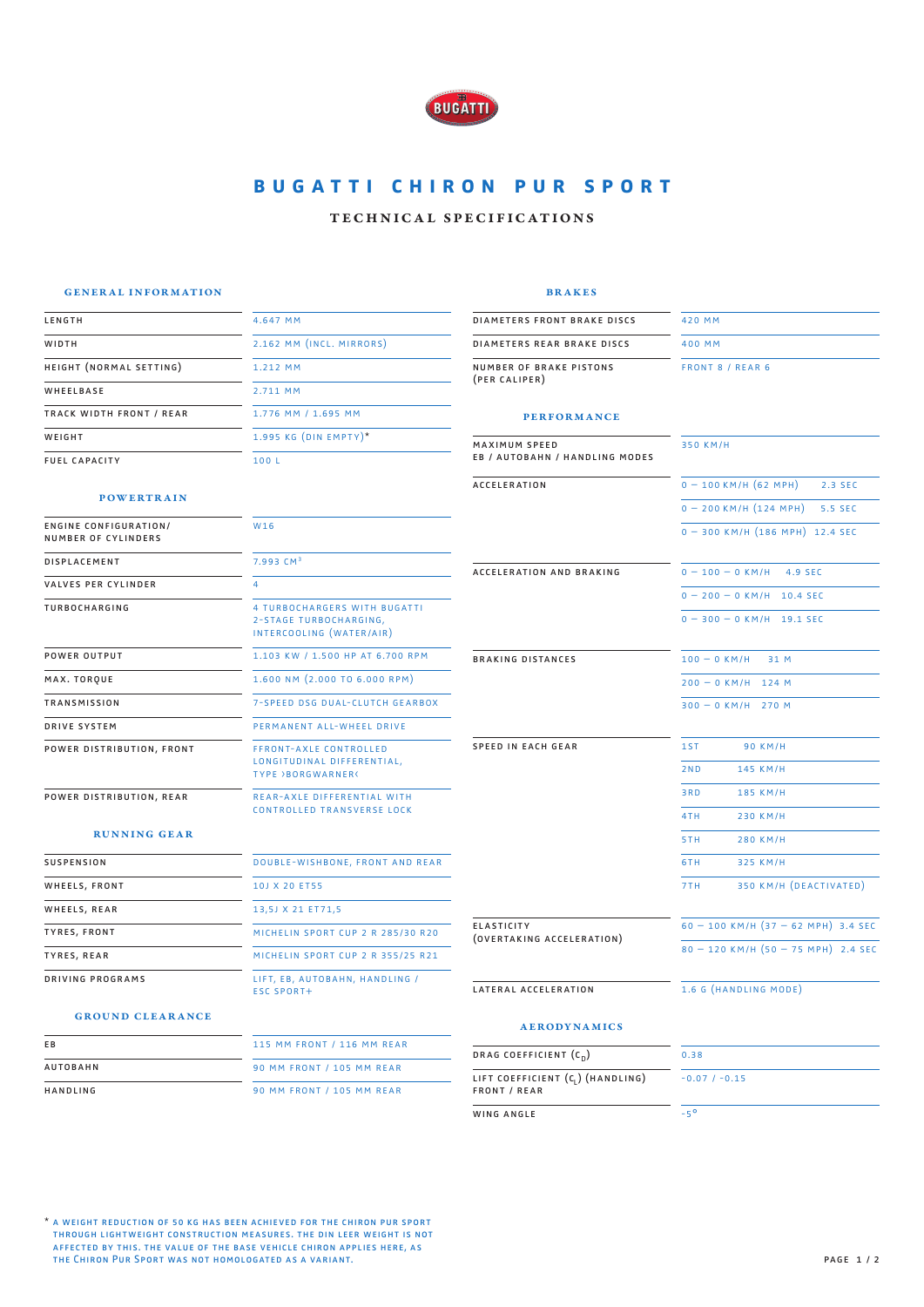

# **BUGATTI CHIRON PUR SPORT**

### technical specifications

#### general information

4.647 mm

1.212 mm 2.711 mm

2.162 mm (incl. mirrors)

1.776 mm / 1.695 mm  $1.995$  KG (DIN EMPTY)<sup>\*</sup>

**POWERTRAIN** 

height (normal setting)

track width front / rear

engine configuration/ number of cylinders DISPLACEMENT valves per cylinder TURBOCHARGING

power distribution, front

power distribution, rear

running gear

power output max. torque transmission drive system

suspension WHEELS, FRONT WHEELS, REAR tyres, front tyres, rear driving programs

length WIDTH

WHEELBASE

**WEIGHT** fuel capacity

|  | . | - 3<br>۰. |
|--|---|-----------|
|  |   |           |

diameters front brake discs diameters rear brake discs number of brake pistons (per caliper)

400 mm

front 8 / rear 6

420 mm

#### performance

| 1.995 KG (DIN EMPTY)*                                                              | <b>MAXIMUM SPEED</b>                           | 350 KM/H                                |  |
|------------------------------------------------------------------------------------|------------------------------------------------|-----------------------------------------|--|
| 100 L                                                                              | <b>EB / AUTOBAHN / HANDLING MODES</b>          |                                         |  |
|                                                                                    | ACCELERATION                                   | $0 - 100$ KM/H (62 MPH)<br>2.3 SEC      |  |
|                                                                                    |                                                | $0 - 200$ KM/H $(124$ MPH)<br>5.5 SEC   |  |
| W16                                                                                |                                                | $0 - 300$ KM/H $(186$ MPH) 12.4 SEC     |  |
| 7.993 CM <sup>3</sup>                                                              | <b>ACCELERATION AND BRAKING</b>                | $0 - 100 - 0$ KM/H<br>4.9 SEC           |  |
| $\overline{4}$                                                                     |                                                | $0 - 200 - 0$ KM/H 10.4 SEC             |  |
| 4 TURBOCHARGERS WITH BUGATTI<br>2-STAGE TURBOCHARGING,<br>INTERCOOLING (WATER/AIR) |                                                | $0 - 300 - 0$ KM/H 19.1 SEC             |  |
| 1.103 KW / 1.500 HP AT 6.700 RPM                                                   | <b>BRAKING DISTANCES</b>                       | $100 - 0$ KM/H<br>31 M                  |  |
| $1.600$ NM $(2.000$ TO 6.000 RPM)                                                  |                                                | $200 - 0$ KM/H 124 M                    |  |
| <b>7-SPEED DSG DUAL-CLUTCH GEARBOX</b>                                             |                                                | $300 - 0$ KM/H 270 M                    |  |
| PERMANENT ALL-WHEEL DRIVE                                                          |                                                |                                         |  |
| <b>FFRONT-AXLE CONTROLLED</b>                                                      | <b>SPEED IN EACH GEAR</b>                      | 1ST<br><b>90 KM/H</b>                   |  |
| LONGITUDINAL DIFFERENTIAL,<br><b>TYPE &gt;BORGWARNER&lt;</b>                       |                                                | 2ND<br>145 KM/H                         |  |
| <b>REAR-AXLE DIFFERENTIAL WITH</b>                                                 |                                                | 3RD<br>185 KM/H                         |  |
| <b>CONTROLLED TRANSVERSE LOCK</b>                                                  |                                                | 4TH<br>230 KM/H                         |  |
|                                                                                    |                                                | 5TH.<br>280 KM/H                        |  |
| DOUBLE-WISHBONE, FRONT AND REAR                                                    |                                                | 325 KM/H<br>6TH                         |  |
| 10J X 20 ET55                                                                      |                                                | 350 KM/H (DEACTIVATED)<br>7TH           |  |
| 13,5J X 21 ET71,5                                                                  |                                                |                                         |  |
| MICHELIN SPORT CUP 2 R 285/30 R20                                                  | <b>ELASTICITY</b><br>(OVERTAKING ACCELERATION) |                                         |  |
| MICHELIN SPORT CUP 2 R 355/25 R21                                                  |                                                | $80 - 120$ KM/H $(50 - 75$ MPH) 2.4 SEC |  |
| LIFT, EB, AUTOBAHN, HANDLING /<br><b>ESC SPORT+</b>                                | LATERAL ACCELERATION                           | 1.6 G (HANDLING MODE)                   |  |

#### ground clearance

| E B      | 115 MM FRONT / 116 MM REAR       |  |
|----------|----------------------------------|--|
| AUTOBAHN | <b>90 MM FRONT / 105 MM REAR</b> |  |
| HANDLING | <b>90 MM FRONT / 105 MM REAR</b> |  |

#### aerodynamics

| DRAG COEFFICIENT $(c_n)$                                             | 0.38           |  |
|----------------------------------------------------------------------|----------------|--|
| LIFT COEFFICIENT (C <sub>1</sub> ) (HANDLING)<br><b>FRONT / REAR</b> | $-0.07/ -0.15$ |  |
| WING ANGLE                                                           | $-5^{\circ}$   |  |

\* a weight reduction of 50 kg has been achieved for the chiron pur sport through lightweight construction measures. the din leer weight is not affected by this. the value of the base vehicle chiron applies here, as the Chiron Pur Sport was not homologated as a variant.